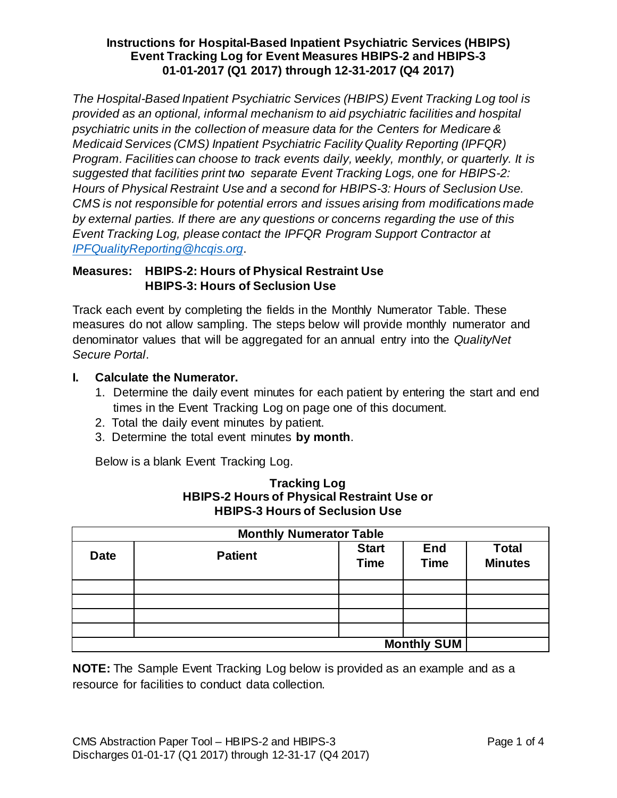*The Hospital-Based Inpatient Psychiatric Services (HBIPS) Event Tracking Log tool is provided as an optional, informal mechanism to aid psychiatric facilities and hospital psychiatric units in the collection of measure data for the Centers for Medicare & Medicaid Services (CMS) Inpatient Psychiatric Facility Quality Reporting (IPFQR) Program. Facilities can choose to track events daily, weekly, monthly, or quarterly. It is suggested that facilities print two separate Event Tracking Logs, one for HBIPS-2: Hours of Physical Restraint Use and a second for HBIPS-3: Hours of Seclusion Use. CMS is not responsible for potential errors and issues arising from modifications made by external parties. If there are any questions or concerns regarding the use of this Event Tracking Log, please contact the IPFQR Program Support Contractor at [IPFQualityReporting@hcqis.org](mailto:IPFQualityReporting@hcqis.org)*.

# **Measures: HBIPS-2: Hours of Physical Restraint Use HBIPS-3: Hours of Seclusion Use**

Track each event by completing the fields in the Monthly Numerator Table. These measures do not allow sampling. The steps below will provide monthly numerator and denominator values that will be aggregated for an annual entry into the *QualityNet Secure Portal*.

# **I. Calculate the Numerator.**

- 1. Determine the daily event minutes for each patient by entering the start and end times in the Event Tracking Log on page one of this document.
- 2. Total the daily event minutes by patient.
- 3. Determine the total event minutes **by month**.

Below is a blank Event Tracking Log.

| <b>Monthly Numerator Table</b> |                |                             |                           |                                |  |  |
|--------------------------------|----------------|-----------------------------|---------------------------|--------------------------------|--|--|
| <b>Date</b>                    | <b>Patient</b> | <b>Start</b><br><b>Time</b> | <b>End</b><br><b>Time</b> | <b>Total</b><br><b>Minutes</b> |  |  |
|                                |                |                             |                           |                                |  |  |
|                                |                |                             |                           |                                |  |  |
|                                |                |                             |                           |                                |  |  |
|                                |                |                             |                           |                                |  |  |
| <b>Monthly SUM</b>             |                |                             |                           |                                |  |  |

#### **Tracking Log HBIPS-2 Hours of Physical Restraint Use or HBIPS-3 Hours of Seclusion Use**

**NOTE:** The Sample Event Tracking Log below is provided as an example and as a resource for facilities to conduct data collection.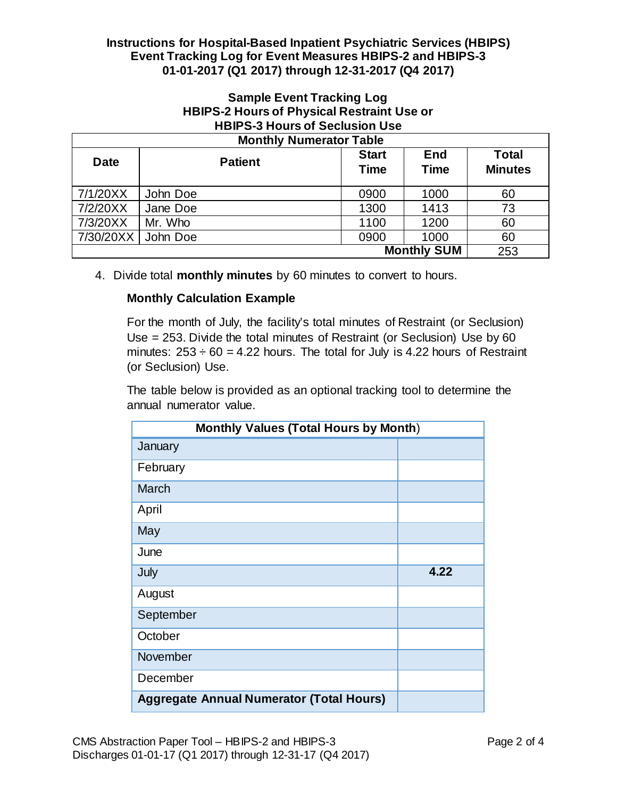# **Sample Event Tracking Log HBIPS-2 Hours of Physical Restraint Use or HBIPS-3 Hours of Seclusion Use**

| <b>Monthly Numerator Table</b> |                |                             |                           |                                |  |  |
|--------------------------------|----------------|-----------------------------|---------------------------|--------------------------------|--|--|
| <b>Date</b>                    | <b>Patient</b> | <b>Start</b><br><b>Time</b> | <b>End</b><br><b>Time</b> | <b>Total</b><br><b>Minutes</b> |  |  |
| 7/1/20XX                       | John Doe       | 0900                        | 1000                      | 60                             |  |  |
| 7/2/20XX                       | Jane Doe       | 1300                        | 1413                      | 73                             |  |  |
| 7/3/20XX                       | Mr. Who        | 1100                        | 1200                      | 60                             |  |  |
| 7/30/20XX                      | John Doe       | 0900                        | 1000                      | 60                             |  |  |
| <b>Monthly SUM</b>             |                |                             |                           | 253                            |  |  |

4. Divide total **monthly minutes** by 60 minutes to convert to hours.

# **Monthly Calculation Example**

For the month of July, the facility's total minutes of Restraint (or Seclusion) Use = 253. Divide the total minutes of Restraint (or Seclusion) Use by 60 minutes:  $253 \div 60 = 4.22$  hours. The total for July is 4.22 hours of Restraint (or Seclusion) Use.

The table below is provided as an optional tracking tool to determine the annual numerator value.

| <b>Monthly Values (Total Hours by Month)</b>    |      |  |  |  |
|-------------------------------------------------|------|--|--|--|
| January                                         |      |  |  |  |
| February                                        |      |  |  |  |
| March                                           |      |  |  |  |
| April                                           |      |  |  |  |
| May                                             |      |  |  |  |
| June                                            |      |  |  |  |
| July                                            | 4.22 |  |  |  |
| August                                          |      |  |  |  |
| September                                       |      |  |  |  |
| October                                         |      |  |  |  |
| November                                        |      |  |  |  |
| December                                        |      |  |  |  |
| <b>Aggregate Annual Numerator (Total Hours)</b> |      |  |  |  |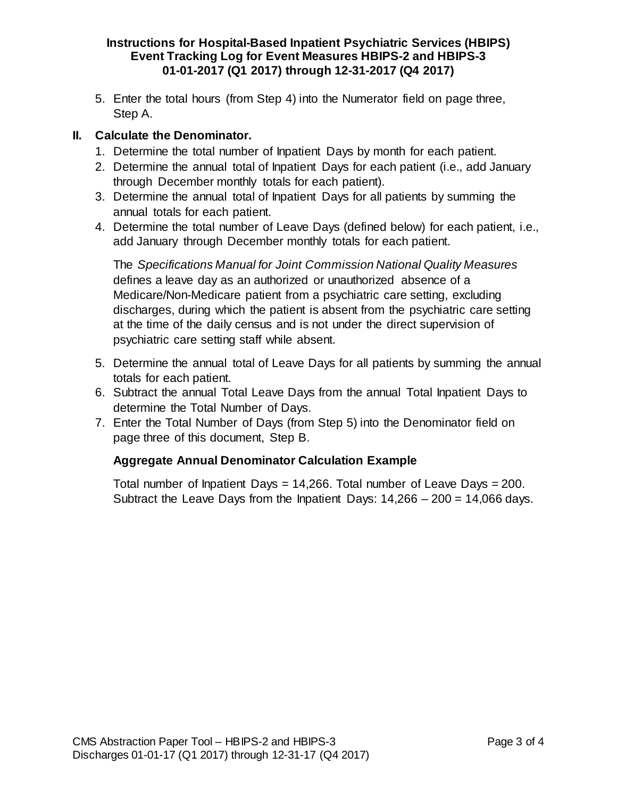5. Enter the total hours (from Step 4) into the Numerator field on page three, Step A.

# **II. Calculate the Denominator.**

- 1. Determine the total number of Inpatient Days by month for each patient.
- 2. Determine the annual total of Inpatient Days for each patient (i.e., add January through December monthly totals for each patient).
- 3. Determine the annual total of Inpatient Days for all patients by summing the annual totals for each patient.
- 4. Determine the total number of Leave Days (defined below) for each patient, i.e., add January through December monthly totals for each patient.

The *Specifications Manual for Joint Commission National Quality Measures*  defines a leave day as an authorized or unauthorized absence of a Medicare/Non-Medicare patient from a psychiatric care setting, excluding discharges, during which the patient is absent from the psychiatric care setting at the time of the daily census and is not under the direct supervision of psychiatric care setting staff while absent.

- 5. Determine the annual total of Leave Days for all patients by summing the annual totals for each patient.
- 6. Subtract the annual Total Leave Days from the annual Total Inpatient Days to determine the Total Number of Days.
- 7. Enter the Total Number of Days (from Step 5) into the Denominator field on page three of this document, Step B.

# **Aggregate Annual Denominator Calculation Example**

Total number of Inpatient Days  $= 14,266$ . Total number of Leave Days  $= 200$ . Subtract the Leave Days from the Inpatient Days:  $14,266 - 200 = 14,066$  days.